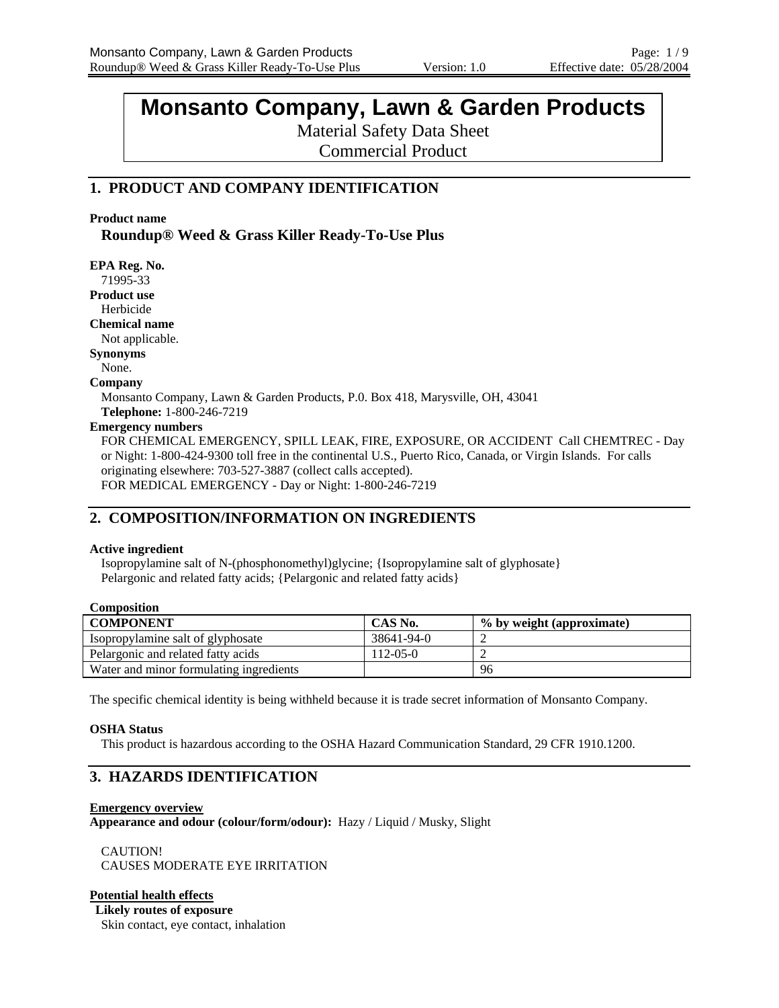# **Monsanto Company, Lawn & Garden Products**

Material Safety Data Sheet

Commercial Product

# **1. PRODUCT AND COMPANY IDENTIFICATION**

#### **Product name**

**Roundup® Weed & Grass Killer Ready-To-Use Plus** 

**EPA Reg. No.**  71995-33 **Product use** Herbicide **Chemical name**  Not applicable. **Synonyms**  None. **Company**  Monsanto Company, Lawn & Garden Products, P.0. Box 418, Marysville, OH, 43041 **Telephone:** 1-800-246-7219 **Emergency numbers**  FOR CHEMICAL EMERGENCY, SPILL LEAK, FIRE, EXPOSURE, OR ACCIDENT Call CHEMTREC - Day or Night: 1-800-424-9300 toll free in the continental U.S., Puerto Rico, Canada, or Virgin Islands. For calls originating elsewhere: 703-527-3887 (collect calls accepted). FOR MEDICAL EMERGENCY - Day or Night: 1-800-246-7219

# **2. COMPOSITION/INFORMATION ON INGREDIENTS**

#### **Active ingredient**

Isopropylamine salt of N-(phosphonomethyl)glycine; {Isopropylamine salt of glyphosate} Pelargonic and related fatty acids; {Pelargonic and related fatty acids}

| <b>Composition</b> |
|--------------------|
|--------------------|

| <b>COMPONENT</b>                        | CAS No.    | % by weight (approximate) |
|-----------------------------------------|------------|---------------------------|
| Isopropylamine salt of glyphosate       | 38641-94-0 |                           |
| Pelargonic and related fatty acids      | 112-05-0   |                           |
| Water and minor formulating ingredients |            | 96                        |

The specific chemical identity is being withheld because it is trade secret information of Monsanto Company.

#### **OSHA Status**

This product is hazardous according to the OSHA Hazard Communication Standard, 29 CFR 1910.1200.

# **3. HAZARDS IDENTIFICATION**

**Emergency overview Appearance and odour (colour/form/odour):** Hazy / Liquid / Musky, Slight

CAUTION! CAUSES MODERATE EYE IRRITATION

#### **Potential health effects**

**Likely routes of exposure** Skin contact, eye contact, inhalation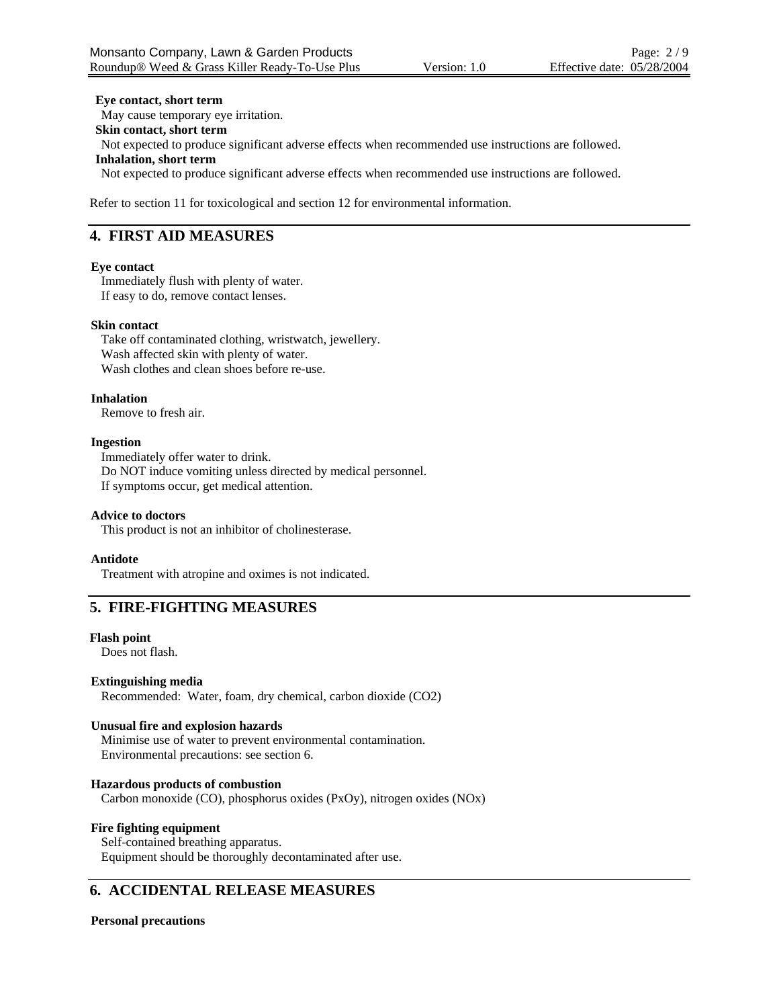#### **Eye contact, short term**

May cause temporary eye irritation. **Skin contact, short term** Not expected to produce significant adverse effects when recommended use instructions are followed. **Inhalation, short term** Not expected to produce significant adverse effects when recommended use instructions are followed.

Refer to section 11 for toxicological and section 12 for environmental information.

### **4. FIRST AID MEASURES**

#### **Eye contact**

Immediately flush with plenty of water. If easy to do, remove contact lenses.

#### **Skin contact**

Take off contaminated clothing, wristwatch, jewellery. Wash affected skin with plenty of water. Wash clothes and clean shoes before re-use.

#### **Inhalation**

Remove to fresh air.

#### **Ingestion**

Immediately offer water to drink. Do NOT induce vomiting unless directed by medical personnel. If symptoms occur, get medical attention.

#### **Advice to doctors**

This product is not an inhibitor of cholinesterase.

#### **Antidote**

Treatment with atropine and oximes is not indicated.

# **5. FIRE-FIGHTING MEASURES**

#### **Flash point**

Does not flash.

#### **Extinguishing media**

Recommended: Water, foam, dry chemical, carbon dioxide (CO2)

#### **Unusual fire and explosion hazards**

Minimise use of water to prevent environmental contamination. Environmental precautions: see section 6.

#### **Hazardous products of combustion**

Carbon monoxide (CO), phosphorus oxides (PxOy), nitrogen oxides (NOx)

#### **Fire fighting equipment**

Self-contained breathing apparatus. Equipment should be thoroughly decontaminated after use.

### **6. ACCIDENTAL RELEASE MEASURES**

#### **Personal precautions**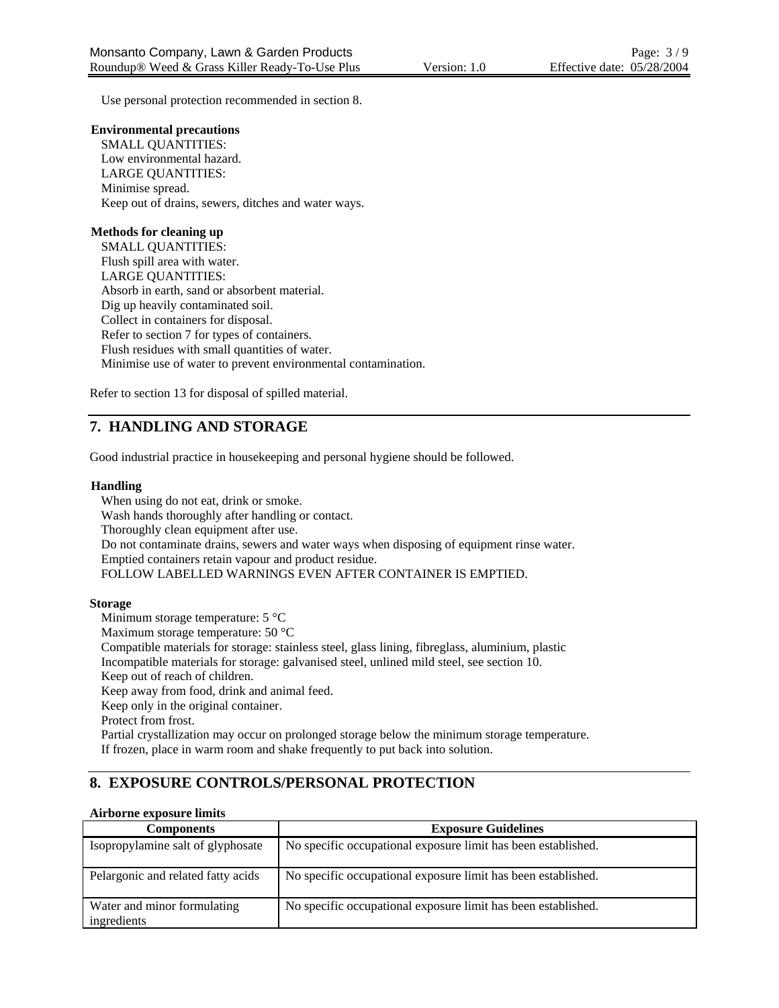Use personal protection recommended in section 8.

#### **Environmental precautions**

SMALL QUANTITIES: Low environmental hazard. LARGE QUANTITIES: Minimise spread. Keep out of drains, sewers, ditches and water ways.

#### **Methods for cleaning up**

SMALL QUANTITIES: Flush spill area with water. LARGE QUANTITIES: Absorb in earth, sand or absorbent material. Dig up heavily contaminated soil. Collect in containers for disposal. Refer to section 7 for types of containers. Flush residues with small quantities of water. Minimise use of water to prevent environmental contamination.

Refer to section 13 for disposal of spilled material.

# **7. HANDLING AND STORAGE**

Good industrial practice in housekeeping and personal hygiene should be followed.

#### **Handling**

When using do not eat, drink or smoke. Wash hands thoroughly after handling or contact. Thoroughly clean equipment after use. Do not contaminate drains, sewers and water ways when disposing of equipment rinse water. Emptied containers retain vapour and product residue. FOLLOW LABELLED WARNINGS EVEN AFTER CONTAINER IS EMPTIED.

#### **Storage**

Minimum storage temperature: 5 °C

Maximum storage temperature: 50 °C

Compatible materials for storage: stainless steel, glass lining, fibreglass, aluminium, plastic

Incompatible materials for storage: galvanised steel, unlined mild steel, see section 10.

Keep out of reach of children.

Keep away from food, drink and animal feed.

Keep only in the original container.

Protect from frost.

Partial crystallization may occur on prolonged storage below the minimum storage temperature. If frozen, place in warm room and shake frequently to put back into solution.

# **8. EXPOSURE CONTROLS/PERSONAL PROTECTION**

### **Airborne exposure limits**

| <b>Components</b>                          | <b>Exposure Guidelines</b>                                    |
|--------------------------------------------|---------------------------------------------------------------|
| Isopropylamine salt of glyphosate          | No specific occupational exposure limit has been established. |
| Pelargonic and related fatty acids         | No specific occupational exposure limit has been established. |
| Water and minor formulating<br>ingredients | No specific occupational exposure limit has been established. |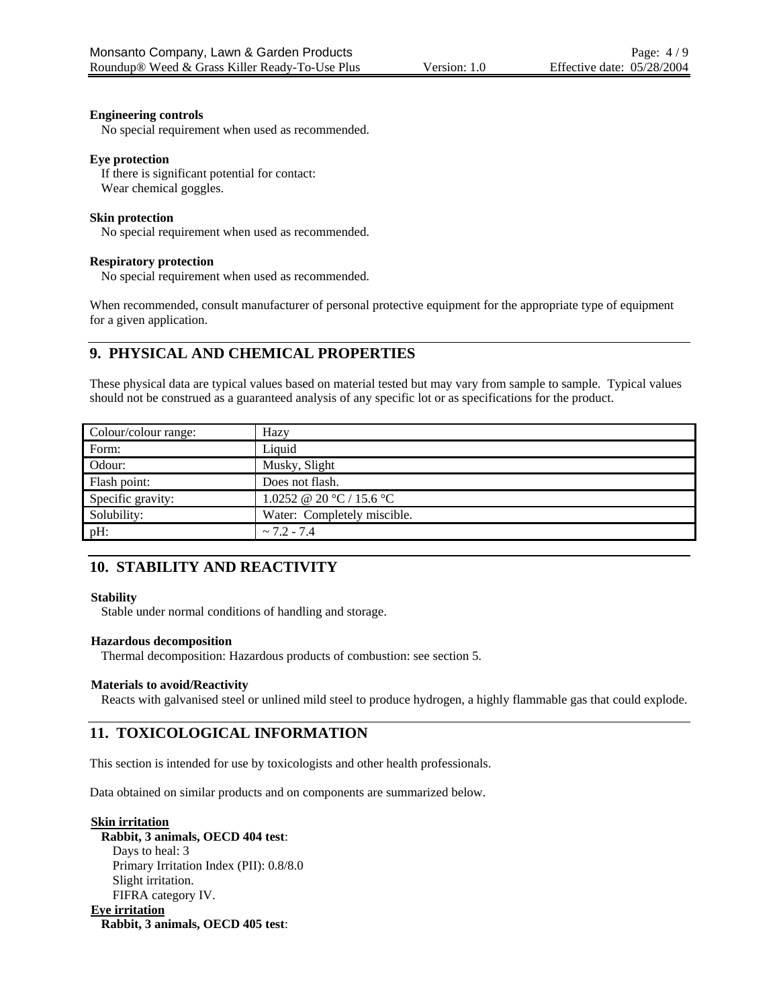#### **Engineering controls**

No special requirement when used as recommended.

#### **Eye protection**

If there is significant potential for contact: Wear chemical goggles.

#### **Skin protection**

No special requirement when used as recommended.

#### **Respiratory protection**

No special requirement when used as recommended.

When recommended, consult manufacturer of personal protective equipment for the appropriate type of equipment for a given application.

# **9. PHYSICAL AND CHEMICAL PROPERTIES**

These physical data are typical values based on material tested but may vary from sample to sample. Typical values should not be construed as a guaranteed analysis of any specific lot or as specifications for the product.

| Colour/colour range: | Hazy                                       |
|----------------------|--------------------------------------------|
| Form:                | Liquid                                     |
| Odour:               | Musky, Slight                              |
| Flash point:         | Does not flash.                            |
| Specific gravity:    | 1.0252 @ 20 $\degree$ C / 15.6 $\degree$ C |
| Solubility:          | Water: Completely miscible.                |
| $pH$ :               | $\sim$ 7.2 - 7.4                           |

# **10. STABILITY AND REACTIVITY**

#### **Stability**

Stable under normal conditions of handling and storage.

#### **Hazardous decomposition**

Thermal decomposition: Hazardous products of combustion: see section 5.

#### **Materials to avoid/Reactivity**

Reacts with galvanised steel or unlined mild steel to produce hydrogen, a highly flammable gas that could explode.

# **11. TOXICOLOGICAL INFORMATION**

This section is intended for use by toxicologists and other health professionals.

Data obtained on similar products and on components are summarized below.

**Skin irritation Rabbit, 3 animals, OECD 404 test**: Days to heal: 3 Primary Irritation Index (PII): 0.8/8.0 Slight irritation. FIFRA category IV. **Eye irritation**

**Rabbit, 3 animals, OECD 405 test**: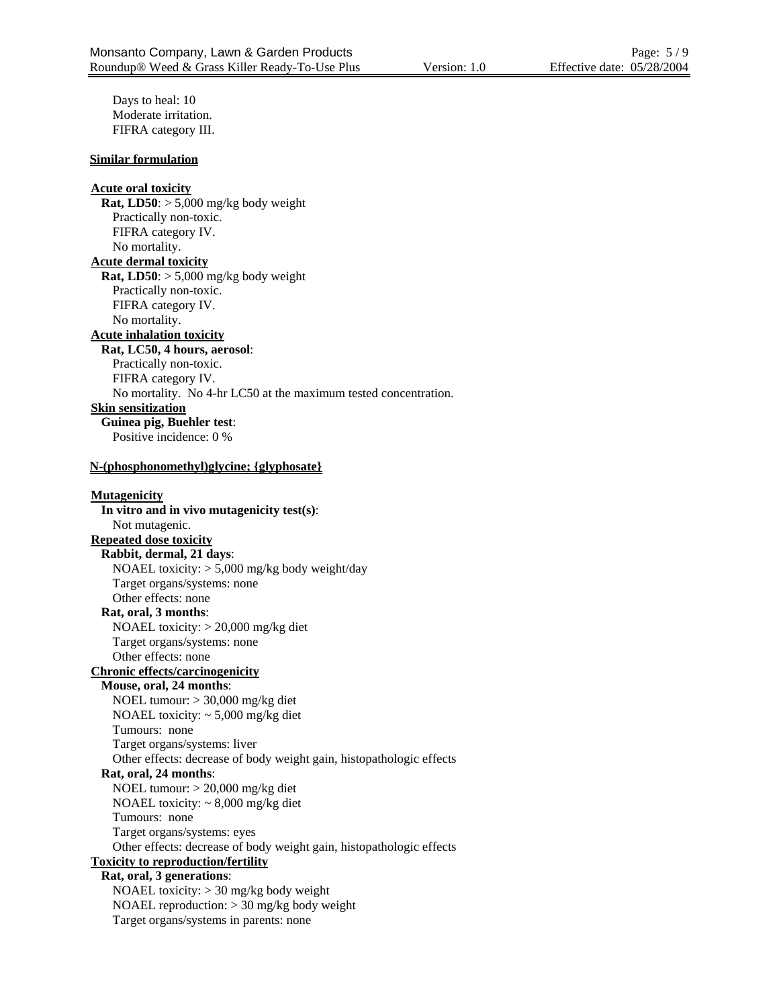Days to heal: 10 Moderate irritation. FIFRA category III.

#### **Similar formulation**

# **Acute oral toxicity Rat, LD50**:  $> 5,000$  mg/kg body weight Practically non-toxic. FIFRA category IV. No mortality. **Acute dermal toxicity Rat, LD50**: > 5,000 mg/kg body weight Practically non-toxic. FIFRA category IV. No mortality. **Acute inhalation toxicity Rat, LC50, 4 hours, aerosol**: Practically non-toxic. FIFRA category IV. No mortality. No 4-hr LC50 at the maximum tested concentration. **Skin sensitization Guinea pig, Buehler test**: Positive incidence: 0 % **N-(phosphonomethyl)glycine; {glyphosate} Mutagenicity**

**In vitro and in vivo mutagenicity test(s)**: Not mutagenic. **Repeated dose toxicity Rabbit, dermal, 21 days**: NOAEL toxicity: > 5,000 mg/kg body weight/day Target organs/systems: none Other effects: none **Rat, oral, 3 months**: NOAEL toxicity: > 20,000 mg/kg diet Target organs/systems: none Other effects: none **Chronic effects/carcinogenicity Mouse, oral, 24 months**: NOEL tumour: > 30,000 mg/kg diet NOAEL toxicity: ~ 5,000 mg/kg diet Tumours: none Target organs/systems: liver Other effects: decrease of body weight gain, histopathologic effects **Rat, oral, 24 months**: NOEL tumour: > 20,000 mg/kg diet NOAEL toxicity: ~ 8,000 mg/kg diet Tumours: none Target organs/systems: eyes Other effects: decrease of body weight gain, histopathologic effects **Toxicity to reproduction/fertility Rat, oral, 3 generations**: NOAEL toxicity: > 30 mg/kg body weight NOAEL reproduction:  $>$  30 mg/kg body weight

Target organs/systems in parents: none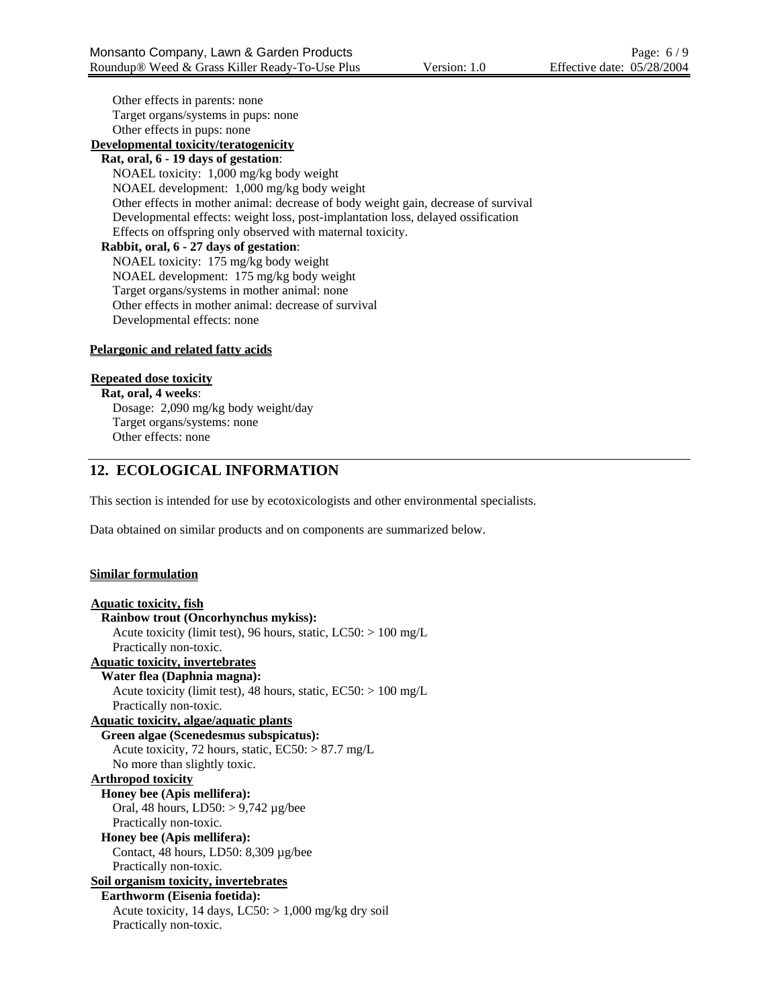Other effects in parents: none Target organs/systems in pups: none Other effects in pups: none

# **Developmental toxicity/teratogenicity**

**Rat, oral, 6 - 19 days of gestation**: NOAEL toxicity: 1,000 mg/kg body weight NOAEL development: 1,000 mg/kg body weight Other effects in mother animal: decrease of body weight gain, decrease of survival Developmental effects: weight loss, post-implantation loss, delayed ossification Effects on offspring only observed with maternal toxicity. **Rabbit, oral, 6 - 27 days of gestation**:

NOAEL toxicity: 175 mg/kg body weight NOAEL development: 175 mg/kg body weight Target organs/systems in mother animal: none Other effects in mother animal: decrease of survival Developmental effects: none

#### **Pelargonic and related fatty acids**

#### **Repeated dose toxicity**

**Rat, oral, 4 weeks**: Dosage: 2,090 mg/kg body weight/day Target organs/systems: none Other effects: none

# **12. ECOLOGICAL INFORMATION**

This section is intended for use by ecotoxicologists and other environmental specialists.

Data obtained on similar products and on components are summarized below.

#### **Similar formulation**

```
Aquatic toxicity, fish
  Rainbow trout (Oncorhynchus mykiss):
    Acute toxicity (limit test), 96 hours, static, LC50: > 100 mg/L 
    Practically non-toxic. 
Aquatic toxicity, invertebrates
  Water flea (Daphnia magna):
    Acute toxicity (limit test), 48 hours, static, EC50: > 100 mg/L 
    Practically non-toxic. 
Aquatic toxicity, algae/aquatic plants
  Green algae (Scenedesmus subspicatus):
    Acute toxicity, 72 hours, static, EC50: > 87.7 mg/L 
    No more than slightly toxic. 
Arthropod toxicity
  Honey bee (Apis mellifera):
    Oral, 48 hours, LD50: > 9,742 µg/bee 
    Practically non-toxic. 
  Honey bee (Apis mellifera):
    Contact, 48 hours, LD50: 8,309 µg/bee 
    Practically non-toxic. 
Soil organism toxicity, invertebrates
  Earthworm (Eisenia foetida):
    Acute toxicity, 14 days, LC50: > 1,000 mg/kg dry soil
    Practically non-toxic.
```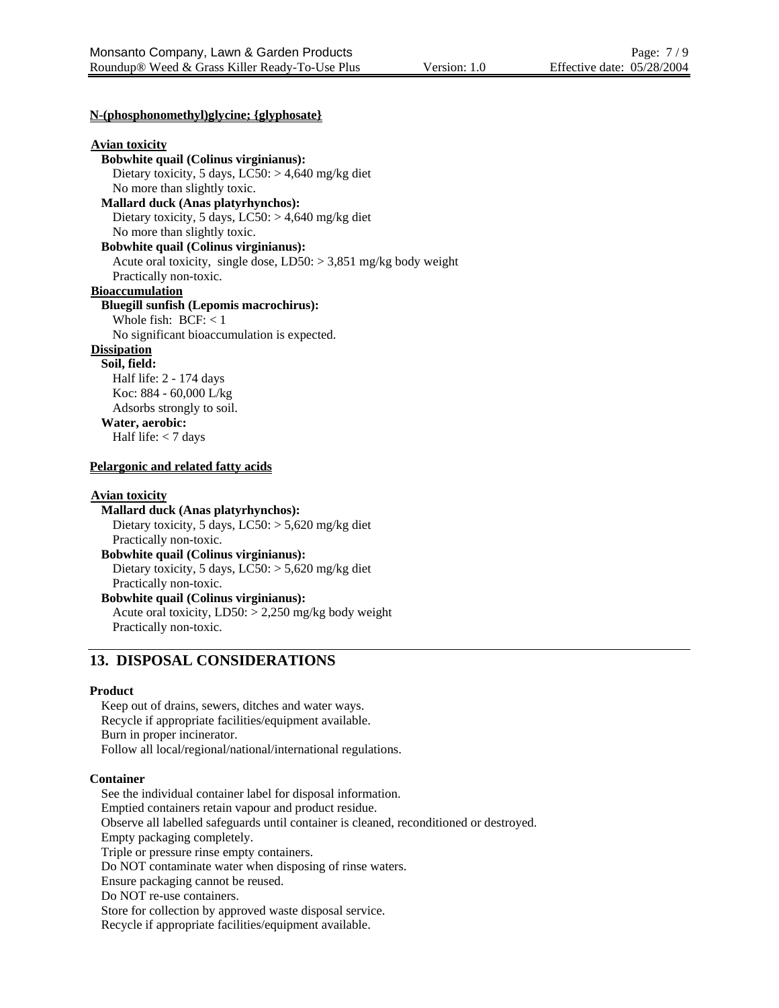#### **N-(phosphonomethyl)glycine; {glyphosate}**

#### **Avian toxicity**

**Bobwhite quail (Colinus virginianus):** Dietary toxicity, 5 days,  $LC50$ :  $> 4,640$  mg/kg diet No more than slightly toxic. **Mallard duck (Anas platyrhynchos):** Dietary toxicity, 5 days,  $LC50$ :  $> 4,640$  mg/kg diet No more than slightly toxic. **Bobwhite quail (Colinus virginianus):** Acute oral toxicity, single dose,  $LD50: > 3,851$  mg/kg body weight Practically non-toxic. **Bioaccumulation Bluegill sunfish (Lepomis macrochirus):** Whole fish: BCF: < 1 No significant bioaccumulation is expected. **Dissipation Soil, field:** Half life: 2 - 174 days Koc: 884 - 60,000 L/kg Adsorbs strongly to soil. **Water, aerobic:** Half life: < 7 days

#### **Pelargonic and related fatty acids**

#### **Avian toxicity**

**Mallard duck (Anas platyrhynchos):** Dietary toxicity, 5 days, LC50: > 5,620 mg/kg diet Practically non-toxic. **Bobwhite quail (Colinus virginianus):**

Dietary toxicity, 5 days, LC50: > 5,620 mg/kg diet Practically non-toxic.

**Bobwhite quail (Colinus virginianus):** Acute oral toxicity,  $LD50: > 2,250$  mg/kg body weight Practically non-toxic.

## **13. DISPOSAL CONSIDERATIONS**

#### **Product**

Keep out of drains, sewers, ditches and water ways. Recycle if appropriate facilities/equipment available. Burn in proper incinerator. Follow all local/regional/national/international regulations.

#### **Container**

See the individual container label for disposal information. Emptied containers retain vapour and product residue. Observe all labelled safeguards until container is cleaned, reconditioned or destroyed. Empty packaging completely. Triple or pressure rinse empty containers. Do NOT contaminate water when disposing of rinse waters. Ensure packaging cannot be reused. Do NOT re-use containers. Store for collection by approved waste disposal service. Recycle if appropriate facilities/equipment available.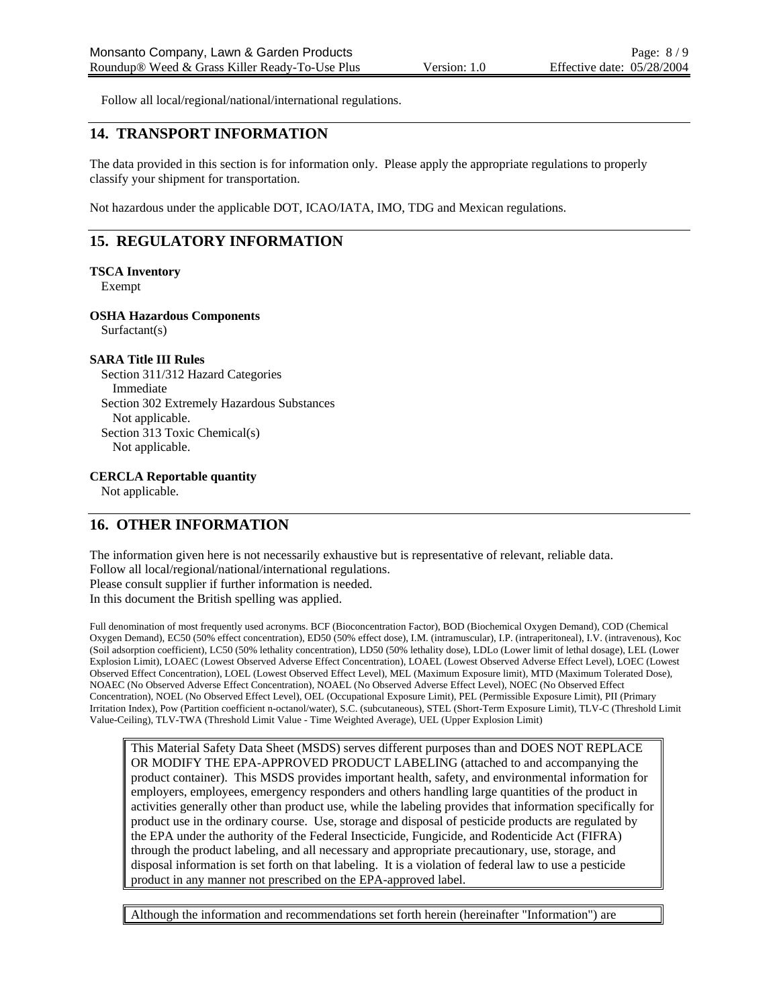Follow all local/regional/national/international regulations.

# **14. TRANSPORT INFORMATION**

The data provided in this section is for information only. Please apply the appropriate regulations to properly classify your shipment for transportation.

Not hazardous under the applicable DOT, ICAO/IATA, IMO, TDG and Mexican regulations.

# **15. REGULATORY INFORMATION**

#### **TSCA Inventory**

Exempt

#### **OSHA Hazardous Components**

Surfactant(s)

#### **SARA Title III Rules**

Section 311/312 Hazard Categories Immediate Section 302 Extremely Hazardous Substances Not applicable. Section 313 Toxic Chemical(s) Not applicable.

#### **CERCLA Reportable quantity**

Not applicable.

# **16. OTHER INFORMATION**

The information given here is not necessarily exhaustive but is representative of relevant, reliable data. Follow all local/regional/national/international regulations. Please consult supplier if further information is needed. In this document the British spelling was applied.

Full denomination of most frequently used acronyms. BCF (Bioconcentration Factor), BOD (Biochemical Oxygen Demand), COD (Chemical Oxygen Demand), EC50 (50% effect concentration), ED50 (50% effect dose), I.M. (intramuscular), I.P. (intraperitoneal), I.V. (intravenous), Koc (Soil adsorption coefficient), LC50 (50% lethality concentration), LD50 (50% lethality dose), LDLo (Lower limit of lethal dosage), LEL (Lower Explosion Limit), LOAEC (Lowest Observed Adverse Effect Concentration), LOAEL (Lowest Observed Adverse Effect Level), LOEC (Lowest Observed Effect Concentration), LOEL (Lowest Observed Effect Level), MEL (Maximum Exposure limit), MTD (Maximum Tolerated Dose), NOAEC (No Observed Adverse Effect Concentration), NOAEL (No Observed Adverse Effect Level), NOEC (No Observed Effect Concentration), NOEL (No Observed Effect Level), OEL (Occupational Exposure Limit), PEL (Permissible Exposure Limit), PII (Primary Irritation Index), Pow (Partition coefficient n-octanol/water), S.C. (subcutaneous), STEL (Short-Term Exposure Limit), TLV-C (Threshold Limit Value-Ceiling), TLV-TWA (Threshold Limit Value - Time Weighted Average), UEL (Upper Explosion Limit)

This Material Safety Data Sheet (MSDS) serves different purposes than and DOES NOT REPLACE OR MODIFY THE EPA-APPROVED PRODUCT LABELING (attached to and accompanying the product container). This MSDS provides important health, safety, and environmental information for employers, employees, emergency responders and others handling large quantities of the product in activities generally other than product use, while the labeling provides that information specifically for product use in the ordinary course. Use, storage and disposal of pesticide products are regulated by the EPA under the authority of the Federal Insecticide, Fungicide, and Rodenticide Act (FIFRA) through the product labeling, and all necessary and appropriate precautionary, use, storage, and disposal information is set forth on that labeling. It is a violation of federal law to use a pesticide product in any manner not prescribed on the EPA-approved label.

Although the information and recommendations set forth herein (hereinafter "Information") are